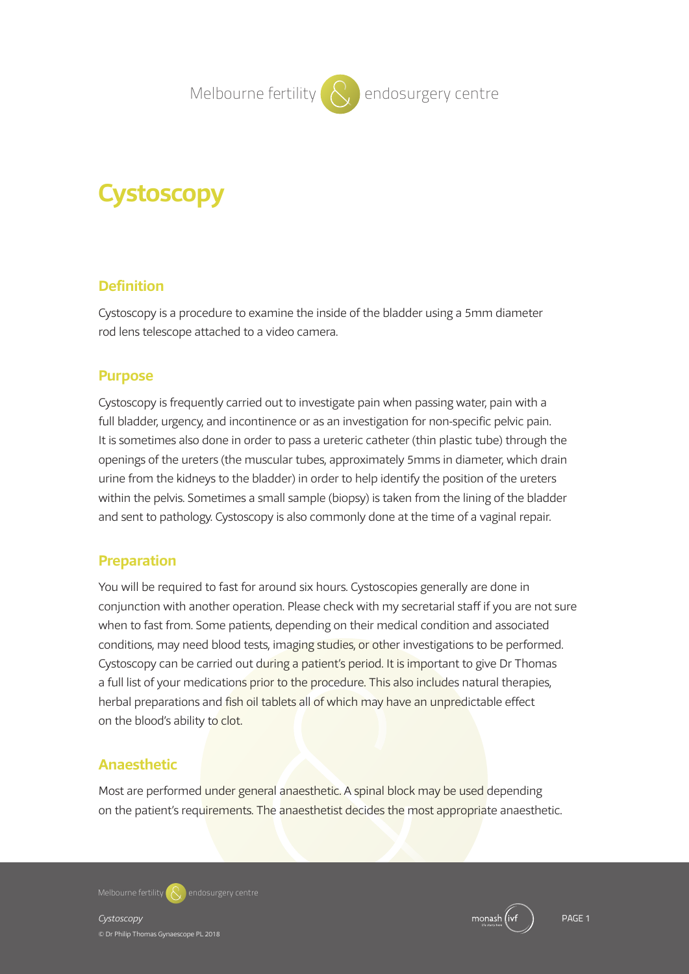**Melbourne fertility ( Q ) endosurgery centre** 

# **Cystoscopy**

# **Definition**

Cystoscopy is a procedure to examine the inside of the bladder using a 5mm diameter rod lens telescope attached to a video camera.

# **Purpose**

Cystoscopy is frequently carried out to investigate pain when passing water, pain with a full bladder, urgency, and incontinence or as an investigation for non-specific pelvic pain. It is sometimes also done in order to pass a ureteric catheter (thin plastic tube) through the openings of the ureters (the muscular tubes, approximately 5mms in diameter, which drain urine from the kidneys to the bladder) in order to help identify the position of the ureters within the pelvis. Sometimes a small sample (biopsy) is taken from the lining of the bladder and sent to pathology. Cystoscopy is also commonly done at the time of a vaginal repair.

# **Preparation**

You will be required to fast for around six hours. Cystoscopies generally are done in conjunction with another operation. Please check with my secretarial staff if you are not sure when to fast from. Some patients, depending on their medical condition and associated conditions, may need blood tests, imaging studies, or other investigations to be performed. Cystoscopy can be carried out during a patient's period. It is important to give Dr Thomas a full list of your medications prior to the procedure. This also includes natural therapies, herbal preparations and fish oil tablets all of which may have an unpredictable effect on the blood's ability to clot.

# **Anaesthetic**

Most are performed under general anaesthetic. A spinal block may be used depending on the patient's requirements. The anaesthetist decides the most appropriate anaesthetic.

**Melbourne fertility endosurgery centre**

*Cystoscopy* PAGE 1 © Dr Philip Thomas Gynaescope PL 2018